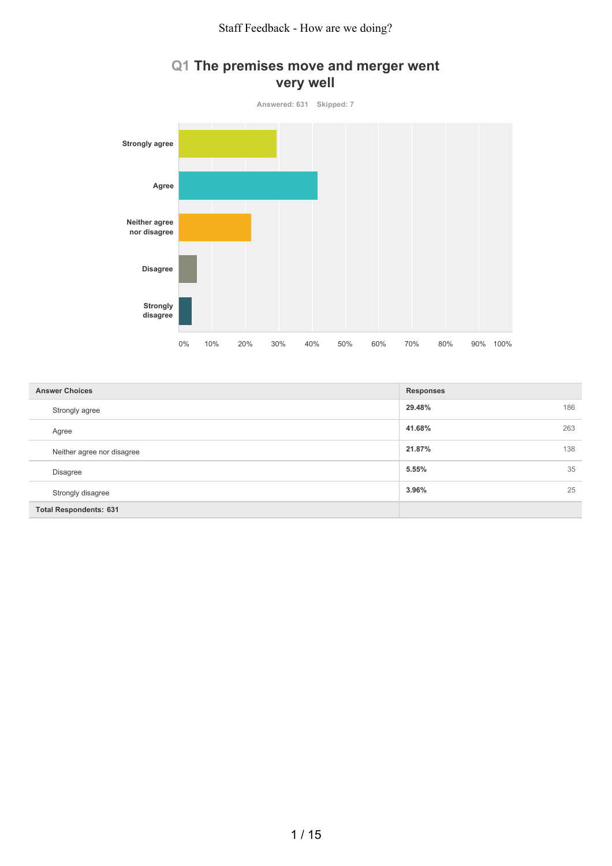

#### **Q1 The premises move and merger went very well**

| <b>Answer Choices</b>         | <b>Responses</b> |
|-------------------------------|------------------|
| Strongly agree                | 29.48%<br>186    |
| Agree                         | 263<br>41.68%    |
| Neither agree nor disagree    | 21.87%<br>138    |
| <b>Disagree</b>               | 5.55%<br>35      |
| Strongly disagree             | 3.96%<br>25      |
| <b>Total Respondents: 631</b> |                  |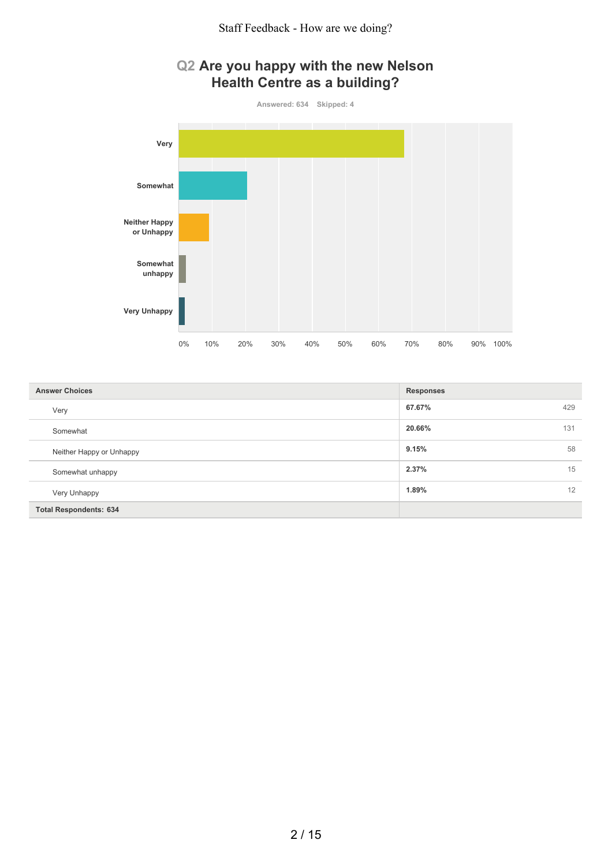



| <b>Answer Choices</b>         | <b>Responses</b> |
|-------------------------------|------------------|
| Very                          | 67.67%<br>429    |
| Somewhat                      | 20.66%<br>131    |
| Neither Happy or Unhappy      | 9.15%<br>58      |
| Somewhat unhappy              | 2.37%<br>15      |
| Very Unhappy                  | 1.89%<br>12      |
| <b>Total Respondents: 634</b> |                  |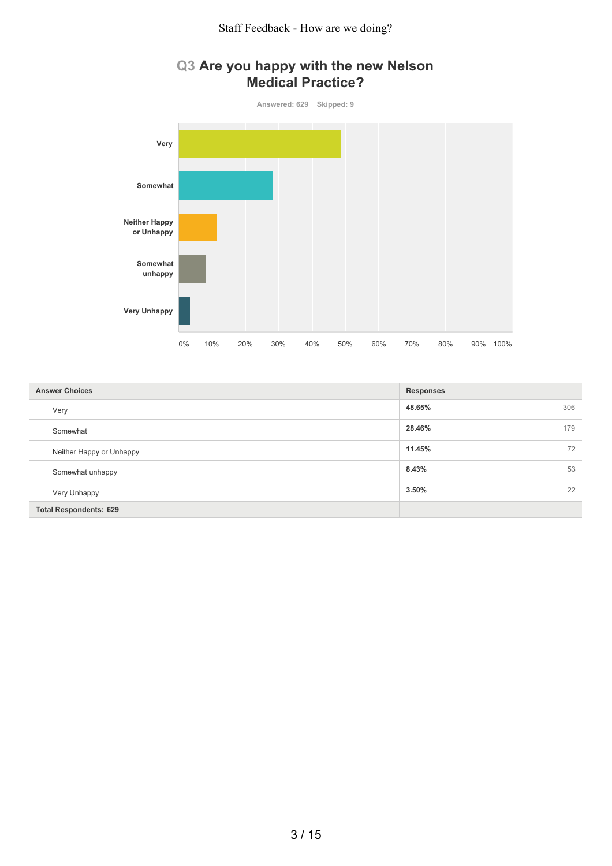Staff Feedback - How are we doing?



# **Q3 Are you happy with the new Nelson Medical Practice?**

| <b>Answer Choices</b>         | <b>Responses</b> |
|-------------------------------|------------------|
| Very                          | 48.65%<br>306    |
| Somewhat                      | 28.46%<br>179    |
| Neither Happy or Unhappy      | 11.45%<br>72     |
| Somewhat unhappy              | 8.43%<br>53      |
| Very Unhappy                  | 22<br>3.50%      |
| <b>Total Respondents: 629</b> |                  |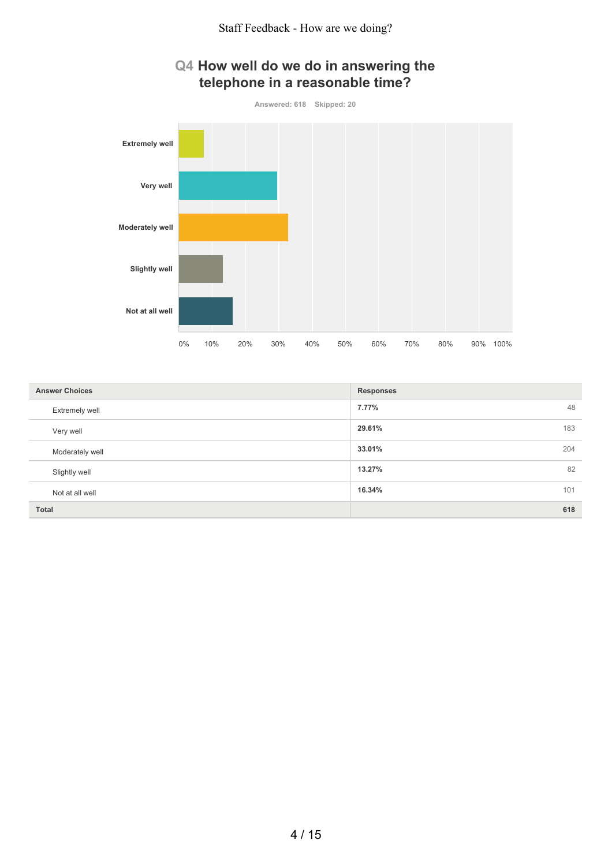## **Q4 How well do we do in answering the telephone in a reasonable time?**



| <b>Answer Choices</b> | <b>Responses</b> |
|-----------------------|------------------|
| Extremely well        | 7.77%<br>48      |
| Very well             | 29.61%<br>183    |
| Moderately well       | 33.01%<br>204    |
| Slightly well         | 13.27%<br>82     |
| Not at all well       | 16.34%<br>101    |
| <b>Total</b>          | 618              |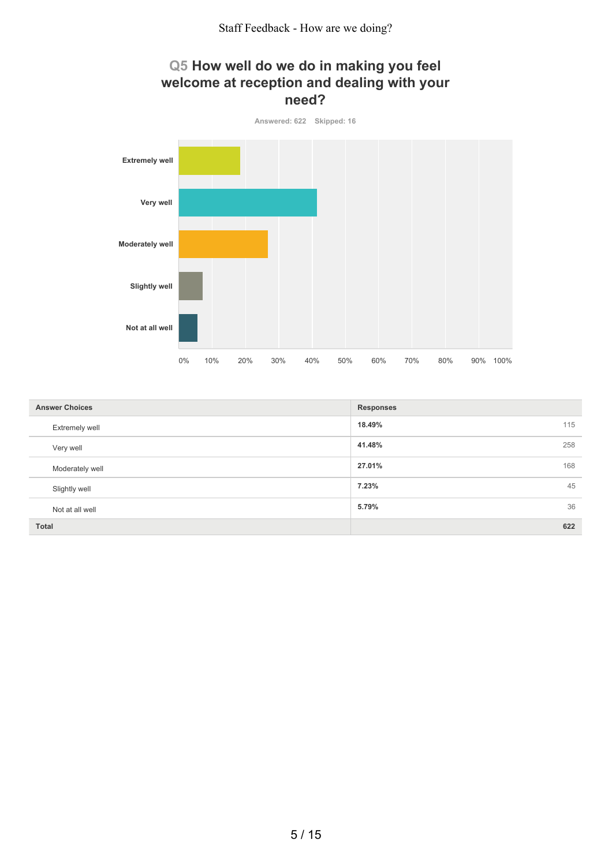



| <b>Answer Choices</b> | <b>Responses</b> |
|-----------------------|------------------|
| <b>Extremely well</b> | 18.49%<br>115    |
| Very well             | 41.48%<br>258    |
| Moderately well       | 27.01%<br>168    |
| Slightly well         | 7.23%<br>45      |
| Not at all well       | 36<br>5.79%      |
| Total                 | 622              |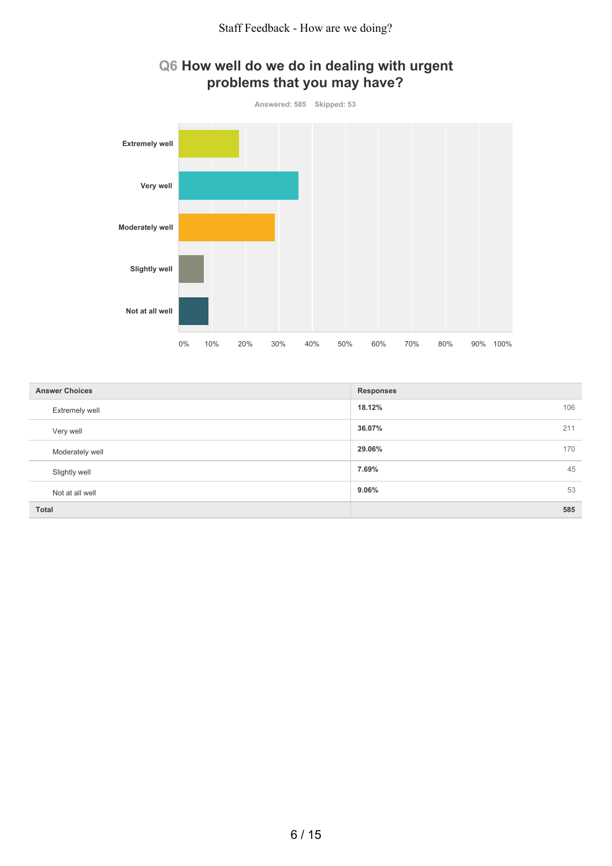



| <b>Answer Choices</b> | <b>Responses</b> |
|-----------------------|------------------|
| Extremely well        | 18.12%<br>106    |
| Very well             | 36.07%<br>211    |
| Moderately well       | 29.06%<br>170    |
| Slightly well         | 45<br>7.69%      |
| Not at all well       | 53<br>9.06%      |
| <b>Total</b>          | 585              |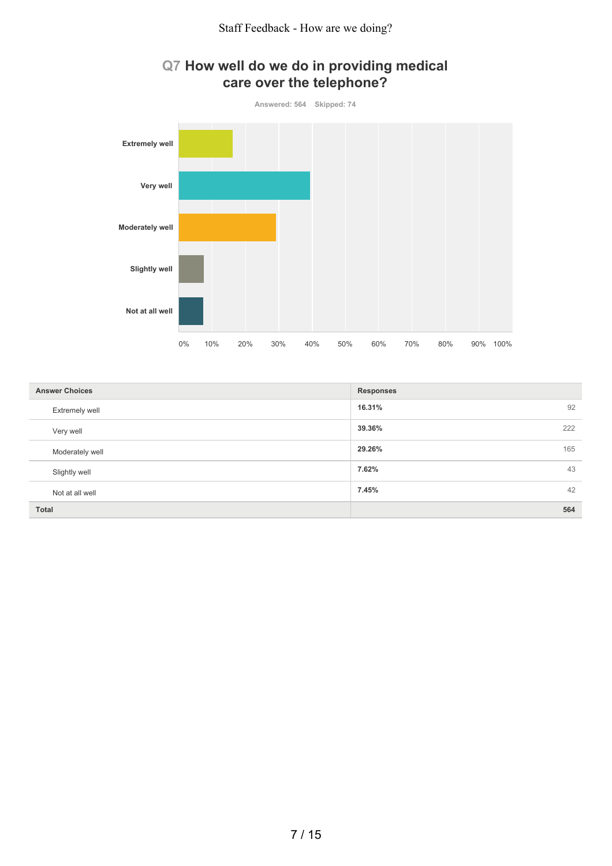

### **Q7 How well do we do in providing medical care over the telephone?**

| <b>Answer Choices</b> | <b>Responses</b> |
|-----------------------|------------------|
| Extremely well        | 16.31%<br>92     |
| Very well             | 39.36%<br>222    |
| Moderately well       | 29.26%<br>165    |
| Slightly well         | 7.62%<br>43      |
| Not at all well       | 7.45%<br>42      |
| Total                 | 564              |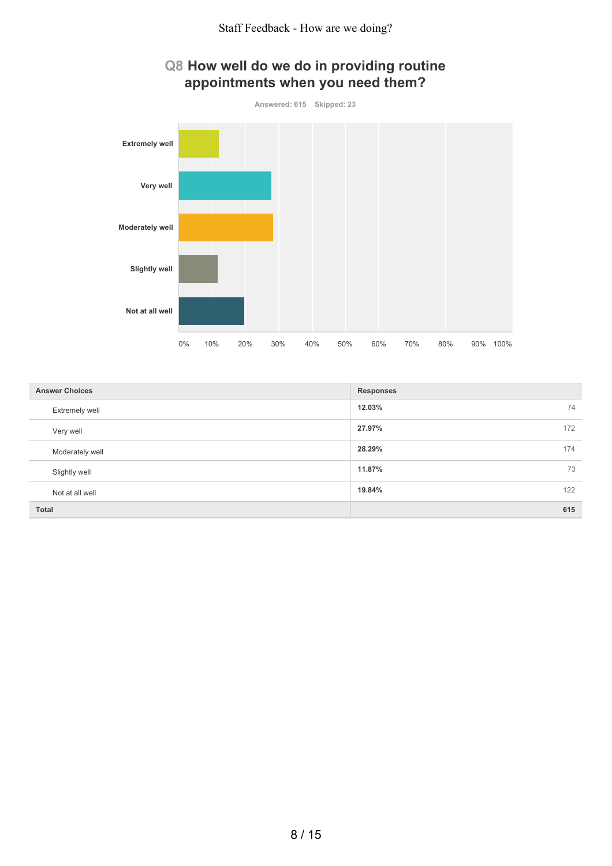# **Q8 How well do we do in providing routine appointments when you need them?**



| <b>Answer Choices</b> | <b>Responses</b> |
|-----------------------|------------------|
| Extremely well        | 12.03%<br>74     |
| Very well             | 27.97%<br>172    |
| Moderately well       | 28.29%<br>174    |
| Slightly well         | 11.87%<br>73     |
| Not at all well       | 19.84%<br>122    |
| <b>Total</b>          | 615              |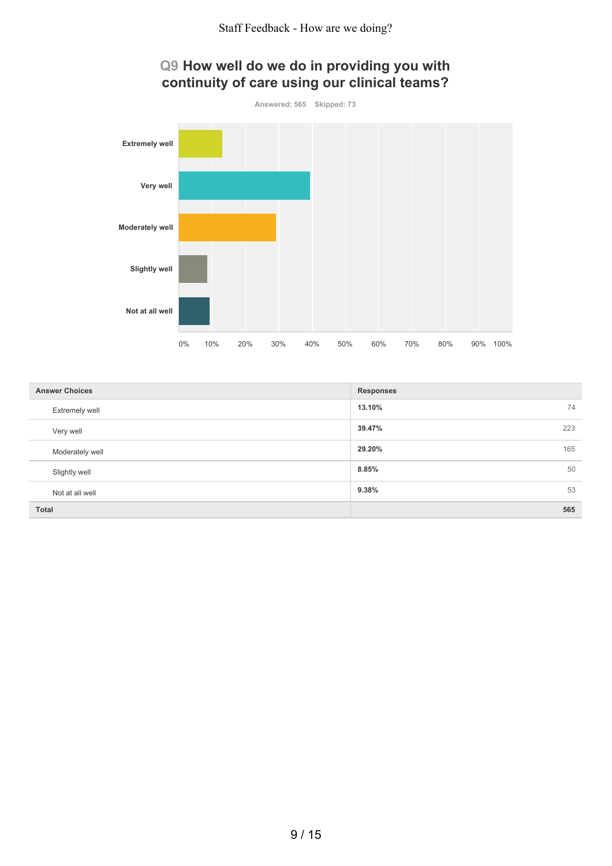

## **Q9 How well do we do in providing you with continuity of care using our clinical teams?**

| <b>Answer Choices</b> | <b>Responses</b> |
|-----------------------|------------------|
| Extremely well        | 13.10%<br>74     |
| Very well             | 39.47%<br>223    |
| Moderately well       | 29.20%<br>165    |
| Slightly well         | 8.85%<br>50      |
| Not at all well       | 9.38%<br>53      |
| Total                 | 565              |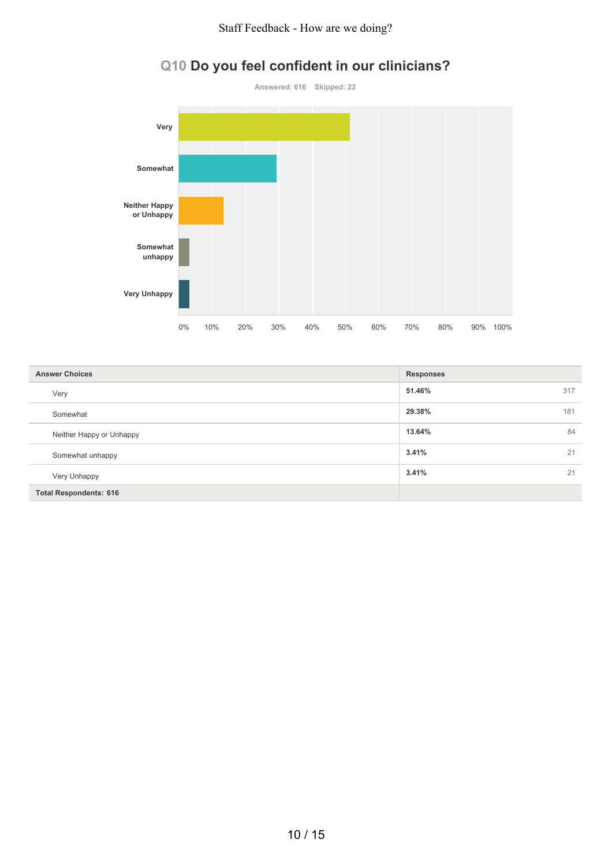#### Staff Feedback - How are we doing?



# **Q10 Do you feel confident in our clinicians?**

| <b>Answer Choices</b>         | <b>Responses</b> |     |
|-------------------------------|------------------|-----|
| Very                          | 51.46%           | 317 |
| Somewhat                      | 29.38%           | 181 |
| Neither Happy or Unhappy      | 13.64%           | 84  |
| Somewhat unhappy              | 3.41%            | 21  |
| Very Unhappy                  | 3.41%            | 21  |
| <b>Total Respondents: 616</b> |                  |     |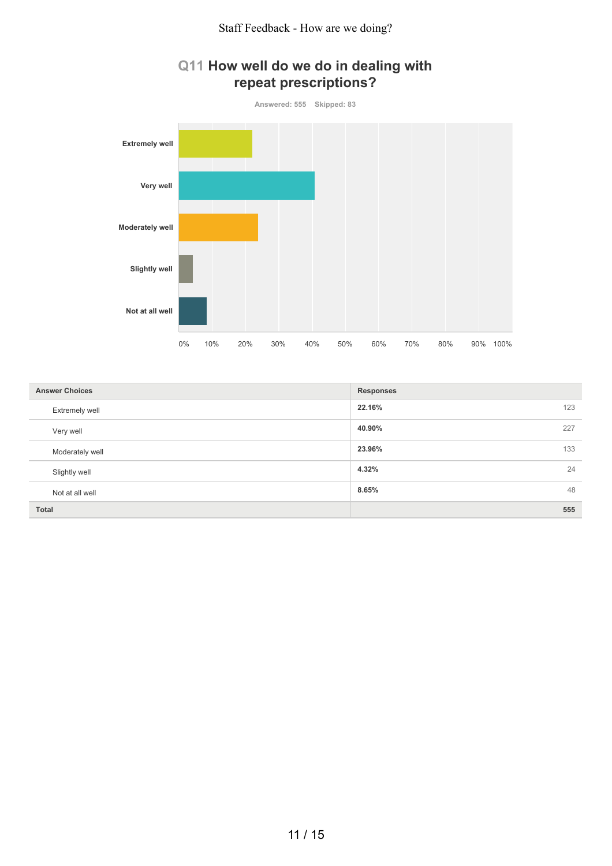

### **Q11 How well do we do in dealing with repeat prescriptions?**

| <b>Answer Choices</b> | <b>Responses</b> |
|-----------------------|------------------|
| Extremely well        | 22.16%<br>123    |
| Very well             | 40.90%<br>227    |
| Moderately well       | 23.96%<br>133    |
| Slightly well         | 4.32%<br>24      |
| Not at all well       | 8.65%<br>48      |
| Total                 | 555              |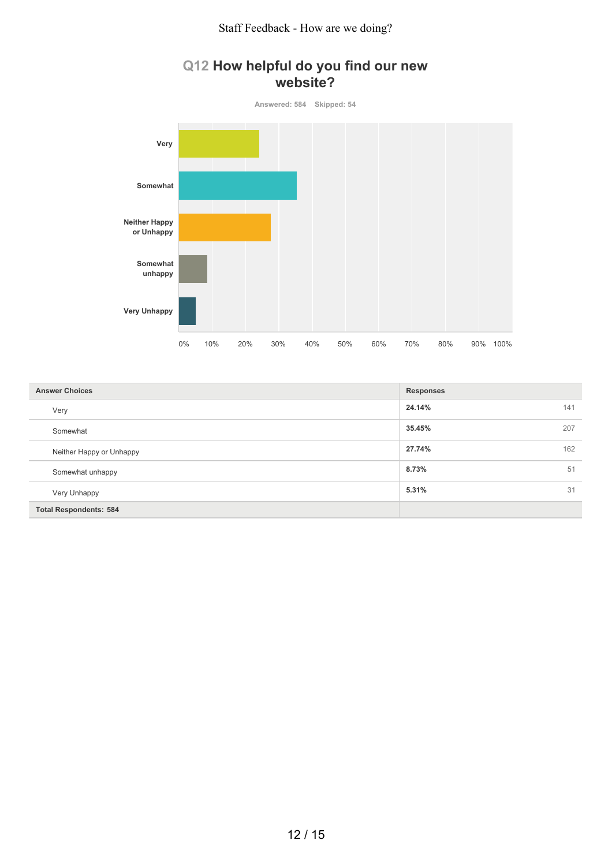# **Q12 How helpful do you find our new website?**



| <b>Answer Choices</b>         | <b>Responses</b> |
|-------------------------------|------------------|
| Very                          | 24.14%<br>141    |
| Somewhat                      | 35.45%<br>207    |
| Neither Happy or Unhappy      | 27.74%<br>162    |
| Somewhat unhappy              | 8.73%<br>51      |
| Very Unhappy                  | 5.31%<br>31      |
| <b>Total Respondents: 584</b> |                  |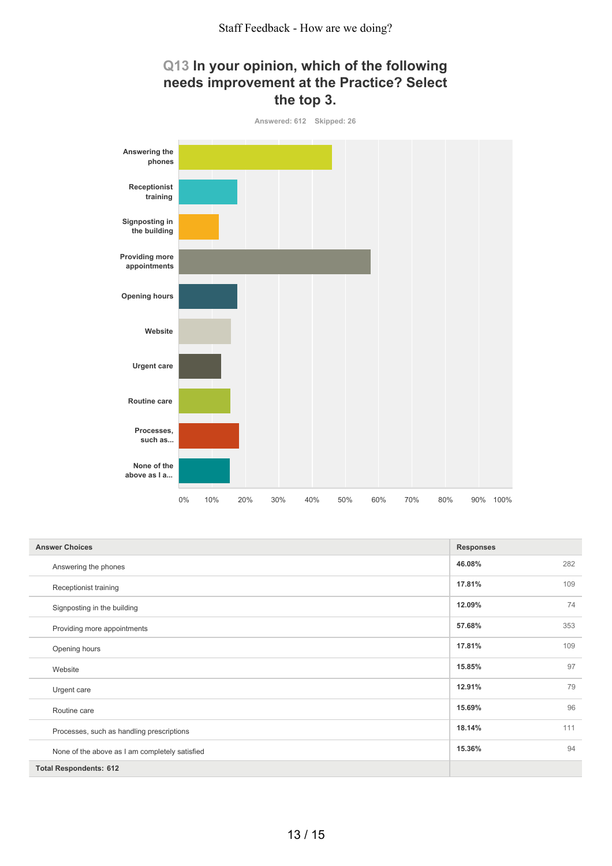

| Q13 In your opinion, which of the following |
|---------------------------------------------|
| needs improvement at the Practice? Select   |
| the top 3.                                  |

| <b>Answer Choices</b>                          | <b>Responses</b> |     |
|------------------------------------------------|------------------|-----|
| Answering the phones                           | 46.08%           | 282 |
| Receptionist training                          | 17.81%           | 109 |
| Signposting in the building                    | 12.09%           | 74  |
| Providing more appointments                    | 57.68%           | 353 |
| Opening hours                                  | 17.81%           | 109 |
| Website                                        | 15.85%           | 97  |
| Urgent care                                    | 12.91%           | 79  |
| Routine care                                   | 15.69%           | 96  |
| Processes, such as handling prescriptions      | 18.14%           | 111 |
| None of the above as I am completely satisfied | 15.36%           | 94  |
| <b>Total Respondents: 612</b>                  |                  |     |

0% 10% 20% 30% 40% 50% 60% 70% 80% 90% 100%

**above as I a...**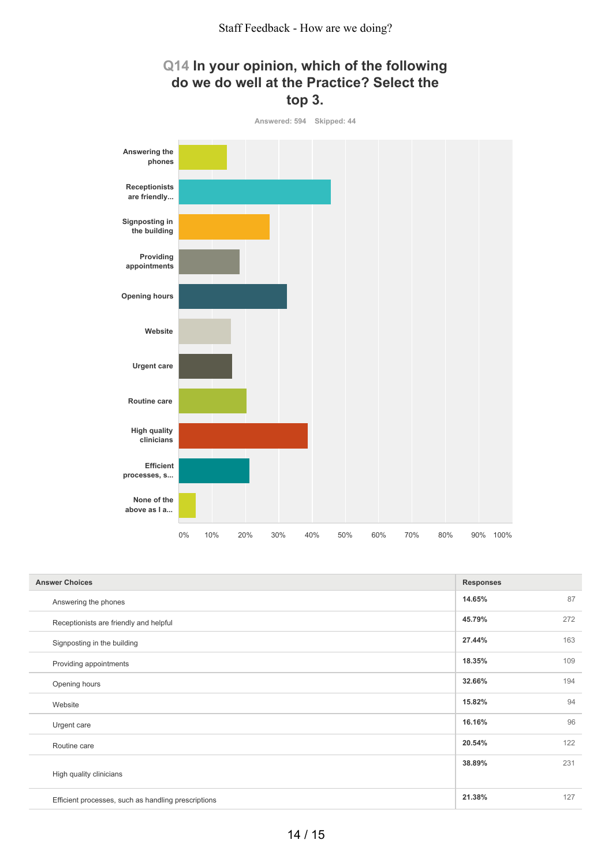

| <b>Answer Choices</b>                               | <b>Responses</b> |
|-----------------------------------------------------|------------------|
| Answering the phones                                | 87<br>14.65%     |
| Receptionists are friendly and helpful              | 45.79%<br>272    |
| Signposting in the building                         | 163<br>27.44%    |
| Providing appointments                              | 18.35%<br>109    |
| Opening hours                                       | 32.66%<br>194    |
| Website                                             | 15.82%<br>94     |
| Urgent care                                         | 96<br>16.16%     |
| Routine care                                        | 20.54%<br>122    |
|                                                     | 231<br>38.89%    |
| High quality clinicians                             |                  |
| Efficient processes, such as handling prescriptions | 21.38%<br>127    |